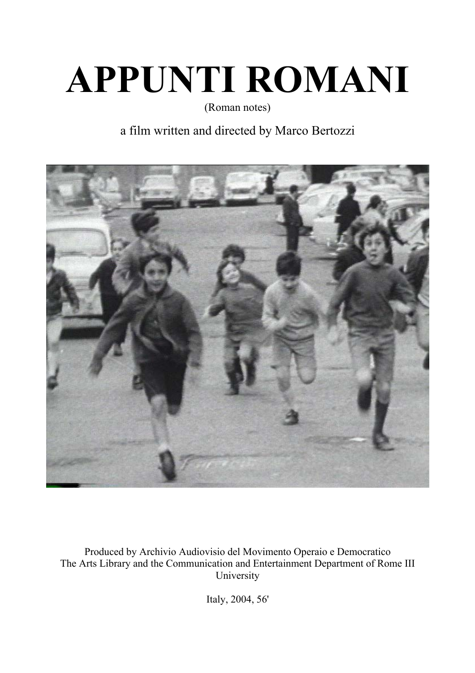# **APPUNTI ROMANI**

(Roman notes)

# a film written and directed by Marco Bertozzi



Produced by Archivio Audiovisio del Movimento Operaio e Democratico The Arts Library and the Communication and Entertainment Department of Rome III University

Italy, 2004, 56'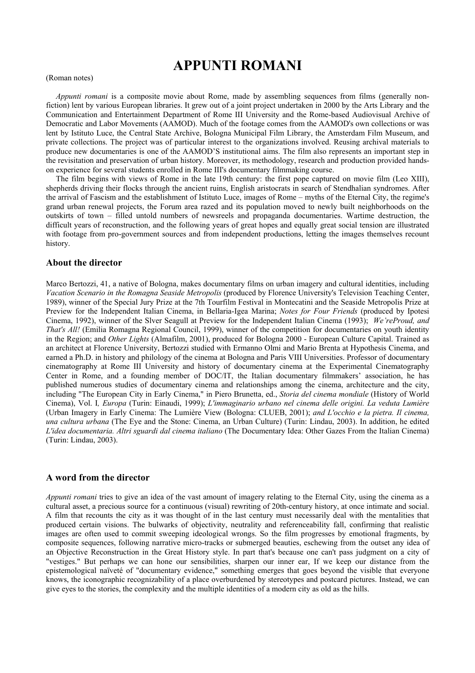# **APPUNTI ROMANI**

### (Roman notes)

 *Appunti romani* is a composite movie about Rome, made by assembling sequences from films (generally nonfiction) lent by various European libraries. It grew out of a joint project undertaken in 2000 by the Arts Library and the Communication and Entertainment Department of Rome III University and the Rome-based Audiovisual Archive of Democratic and Labor Movements (AAMOD). Much of the footage comes from the AAMOD's own collections or was lent by Istituto Luce, the Central State Archive, Bologna Municipal Film Library, the Amsterdam Film Museum, and private collections. The project was of particular interest to the organizations involved. Reusing archival materials to produce new documentaries is one of the AAMOD'S institutional aims. The film also represents an important step in the revisitation and preservation of urban history. Moreover, its methodology, research and production provided handson experience for several students enrolled in Rome III's documentary filmmaking course.

 The film begins with views of Rome in the late 19th century: the first pope captured on movie film (Leo XIII), shepherds driving their flocks through the ancient ruins, English aristocrats in search of Stendhalian syndromes. After the arrival of Fascism and the establishment of Istituto Luce, images of Rome – myths of the Eternal City, the regime's grand urban renewal projects, the Forum area razed and its population moved to newly built neighborhoods on the outskirts of town – filled untold numbers of newsreels and propaganda documentaries. Wartime destruction, the difficult years of reconstruction, and the following years of great hopes and equally great social tension are illustrated with footage from pro-government sources and from independent productions, letting the images themselves recount history.

# **About the director**

Marco Bertozzi, 41, a native of Bologna, makes documentary films on urban imagery and cultural identities, including *Vacation Scenario in the Romagna Seaside Metropolis* (produced by Florence University's Television Teaching Center, 1989), winner of the Special Jury Prize at the 7th Tourfilm Festival in Montecatini and the Seaside Metropolis Prize at Preview for the Independent Italian Cinema, in Bellaria-Igea Marina; *Notes for Four Friends* (produced by Ipotesi Cinema, 1992), winner of the Slver Seagull at Preview for the Independent Italian Cinema (1993); *We'reProud, and That's All!* (Emilia Romagna Regional Council, 1999), winner of the competition for documentaries on youth identity in the Region; and *Other Lights* (Almafilm, 2001), produced for Bologna 2000 - European Culture Capital. Trained as an architect at Florence University, Bertozzi studied with Ermanno Olmi and Mario Brenta at Hypothesis Cinema, and earned a Ph.D. in history and philology of the cinema at Bologna and Paris VIII Universities. Professor of documentary cinematography at Rome III University and history of documentary cinema at the Experimental Cinematography Center in Rome, and a founding member of DOC/IT, the Italian documentary filmmakers' association, he has published numerous studies of documentary cinema and relationships among the cinema, architecture and the city, including "The European City in Early Cinema," in Piero Brunetta, ed., *Storia del cinema mondiale* (History of World Cinema), Vol. I*, Europa* (Turin: Einaudi, 1999); *L'immaginario urbano nel cinema delle origini. La veduta Lumière* (Urban Imagery in Early Cinema: The Lumière View (Bologna: CLUEB, 2001); *and L'occhio e la pietra. Il cinema, una cultura urbana* (The Eye and the Stone: Cinema, an Urban Culture) (Turin: Lindau, 2003). In addition, he edited *L'idea documentaria. Altri sguardi dal cinema italiano* (The Documentary Idea: Other Gazes From the Italian Cinema) (Turin: Lindau, 2003).

# **A word from the director**

*Appunti romani* tries to give an idea of the vast amount of imagery relating to the Eternal City, using the cinema as a cultural asset, a precious source for a continuous (visual) rewriting of 20th-century history, at once intimate and social. A film that recounts the city as it was thought of in the last century must necessarily deal with the mentalities that produced certain visions. The bulwarks of objectivity, neutrality and referenceability fall, confirming that realistic images are often used to commit sweeping ideological wrongs. So the film progresses by emotional fragments, by composite sequences, following narrative micro-tracks or submerged beauties, eschewing from the outset any idea of an Objective Reconstruction in the Great History style. In part that's because one can't pass judgment on a city of "vestiges." But perhaps we can hone our sensibilities, sharpen our inner ear, If we keep our distance from the epistemological naïveté of "documentary evidence," something emerges that goes beyond the visible that everyone knows, the iconographic recognizability of a place overburdened by stereotypes and postcard pictures. Instead, we can give eyes to the stories, the complexity and the multiple identities of a modern city as old as the hills.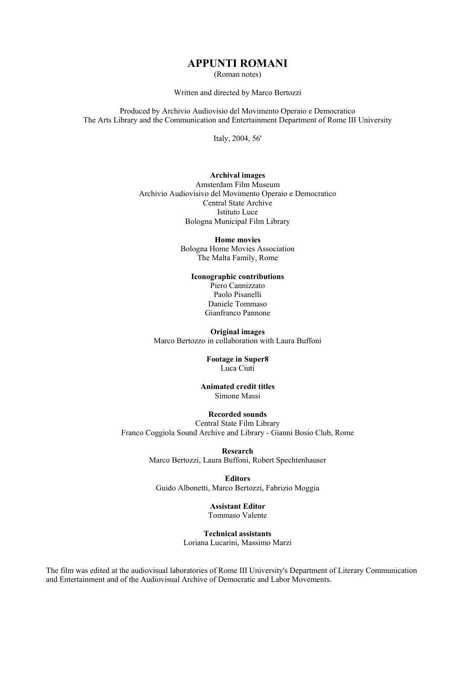# **APPUNTI ROMANI**

(Roman notes)

Written and directed by Marco Bertozzi

Produced by Archivio Audiovisio del Movimento Operaio e Democratico The Arts Library and the Communication and Entertainment Department of Rome III University

Italy, 2004, 56'

## **Archival images**

Amsterdam Film Museum Archivio Audiovisivo del Movimento Operaio e Democratico Central State Archive Istituto Luce Bologna Municipal Film Library

> **Home movies**  Bologna Home Movies Association The Malta Family, Rome

# **Iconographic contributions**

Piero Cannizzato Paolo Pisanelli Daniele Tommaso Gianfranco Pannone

**Original images**  Marco Bertozzo in collaboration with Laura Buffoni

> **Footage in Super8**  Luca Ciuti

**Animated credit titles**  Simone Massi

# **Recorded sounds**

Central State Film Library Franco Coggiola Sound Archive and Library - Gianni Bosio Club, Rome

> **Research**  Marco Bertozzi, Laura Buffoni, Robert Spechtenhauser

**Editors**  Guido Albonetti, Marco Bertozzi, Fabrizio Moggia

> **Assistant Editor**  Tommaso Valente

**Technical assistants**  Loriana Lucarini, Massimo Marzi

The film was edited at the audiovisual laboratories of Rome III University's Department of Literary Communication and Entertainment and of the Audiovisual Archive of Democratic and Labor Movements.